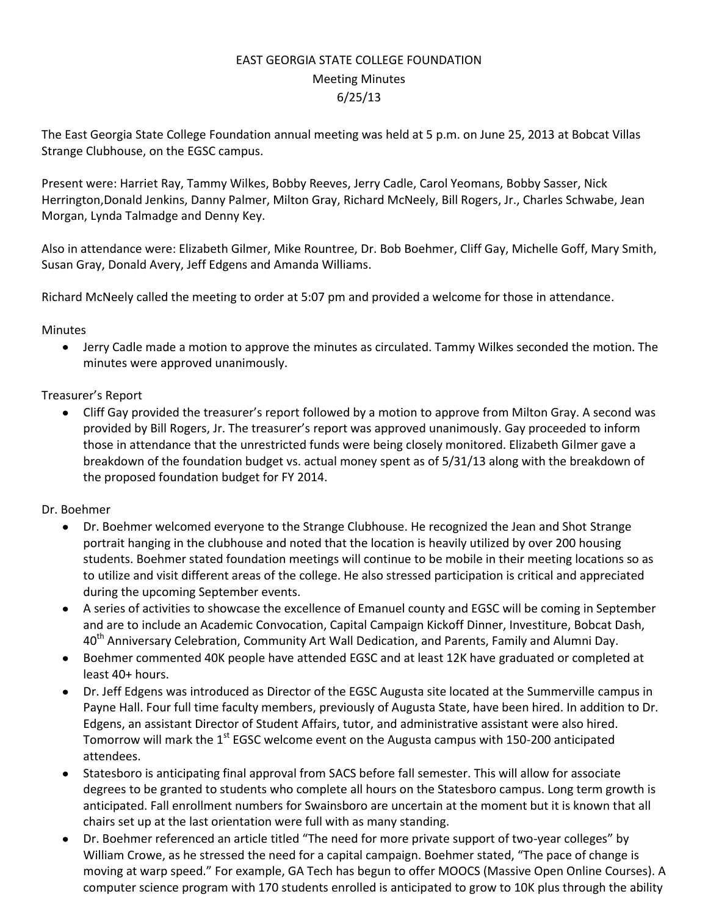## EAST GEORGIA STATE COLLEGE FOUNDATION Meeting Minutes 6/25/13

The East Georgia State College Foundation annual meeting was held at 5 p.m. on June 25, 2013 at Bobcat Villas Strange Clubhouse, on the EGSC campus.

Present were: Harriet Ray, Tammy Wilkes, Bobby Reeves, Jerry Cadle, Carol Yeomans, Bobby Sasser, Nick Herrington,Donald Jenkins, Danny Palmer, Milton Gray, Richard McNeely, Bill Rogers, Jr., Charles Schwabe, Jean Morgan, Lynda Talmadge and Denny Key.

Also in attendance were: Elizabeth Gilmer, Mike Rountree, Dr. Bob Boehmer, Cliff Gay, Michelle Goff, Mary Smith, Susan Gray, Donald Avery, Jeff Edgens and Amanda Williams.

Richard McNeely called the meeting to order at 5:07 pm and provided a welcome for those in attendance.

**Minutes** 

Jerry Cadle made a motion to approve the minutes as circulated. Tammy Wilkes seconded the motion. The  $\bullet$ minutes were approved unanimously.

## Treasurer's Report

 $\bullet$ Cliff Gay provided the treasurer's report followed by a motion to approve from Milton Gray. A second was provided by Bill Rogers, Jr. The treasurer's report was approved unanimously. Gay proceeded to inform those in attendance that the unrestricted funds were being closely monitored. Elizabeth Gilmer gave a breakdown of the foundation budget vs. actual money spent as of 5/31/13 along with the breakdown of the proposed foundation budget for FY 2014.

## Dr. Boehmer

- $\bullet$ Dr. Boehmer welcomed everyone to the Strange Clubhouse. He recognized the Jean and Shot Strange portrait hanging in the clubhouse and noted that the location is heavily utilized by over 200 housing students. Boehmer stated foundation meetings will continue to be mobile in their meeting locations so as to utilize and visit different areas of the college. He also stressed participation is critical and appreciated during the upcoming September events.
- A series of activities to showcase the excellence of Emanuel county and EGSC will be coming in September and are to include an Academic Convocation, Capital Campaign Kickoff Dinner, Investiture, Bobcat Dash, 40<sup>th</sup> Anniversary Celebration, Community Art Wall Dedication, and Parents, Family and Alumni Day.
- Boehmer commented 40K people have attended EGSC and at least 12K have graduated or completed at  $\bullet$ least 40+ hours.
- Dr. Jeff Edgens was introduced as Director of the EGSC Augusta site located at the Summerville campus in Payne Hall. Four full time faculty members, previously of Augusta State, have been hired. In addition to Dr. Edgens, an assistant Director of Student Affairs, tutor, and administrative assistant were also hired. Tomorrow will mark the  $1<sup>st</sup>$  EGSC welcome event on the Augusta campus with 150-200 anticipated attendees.
- Statesboro is anticipating final approval from SACS before fall semester. This will allow for associate degrees to be granted to students who complete all hours on the Statesboro campus. Long term growth is anticipated. Fall enrollment numbers for Swainsboro are uncertain at the moment but it is known that all chairs set up at the last orientation were full with as many standing.
- Dr. Boehmer referenced an article titled "The need for more private support of two-year colleges" by William Crowe, as he stressed the need for a capital campaign. Boehmer stated, "The pace of change is moving at warp speed." For example, GA Tech has begun to offer MOOCS (Massive Open Online Courses). A computer science program with 170 students enrolled is anticipated to grow to 10K plus through the ability